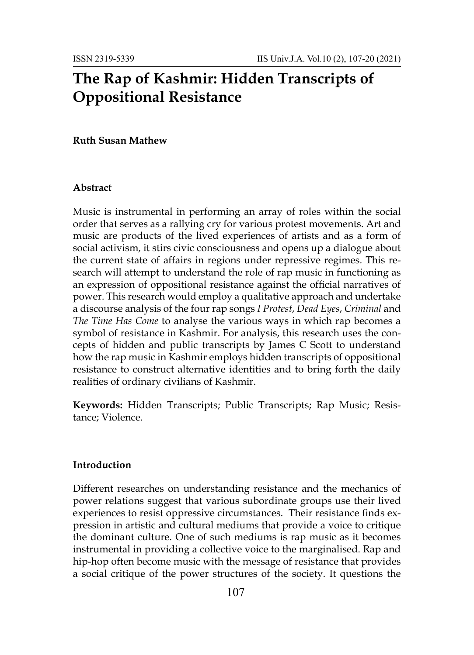# **The Rap of Kashmir: Hidden Transcripts of Oppositional Resistance**

### **Ruth Susan Mathew**

#### **Abstract**

Music is instrumental in performing an array of roles within the social order that serves as a rallying cry for various protest movements. Art and music are products of the lived experiences of artists and as a form of social activism, it stirs civic consciousness and opens up a dialogue about the current state of affairs in regions under repressive regimes. This research will attempt to understand the role of rap music in functioning as an expression of oppositional resistance against the official narratives of power. This research would employ a qualitative approach and undertake a discourse analysis of the four rap songs *I Protest*, *Dead Eyes*, *Criminal* and *The Time Has Come* to analyse the various ways in which rap becomes a symbol of resistance in Kashmir. For analysis, this research uses the concepts of hidden and public transcripts by James C Scott to understand how the rap music in Kashmir employs hidden transcripts of oppositional resistance to construct alternative identities and to bring forth the daily realities of ordinary civilians of Kashmir.

**Keywords:** Hidden Transcripts; Public Transcripts; Rap Music; Resistance; Violence.

#### **Introduction**

Different researches on understanding resistance and the mechanics of power relations suggest that various subordinate groups use their lived experiences to resist oppressive circumstances. Their resistance finds expression in artistic and cultural mediums that provide a voice to critique the dominant culture. One of such mediums is rap music as it becomes instrumental in providing a collective voice to the marginalised. Rap and hip-hop often become music with the message of resistance that provides a social critique of the power structures of the society. It questions the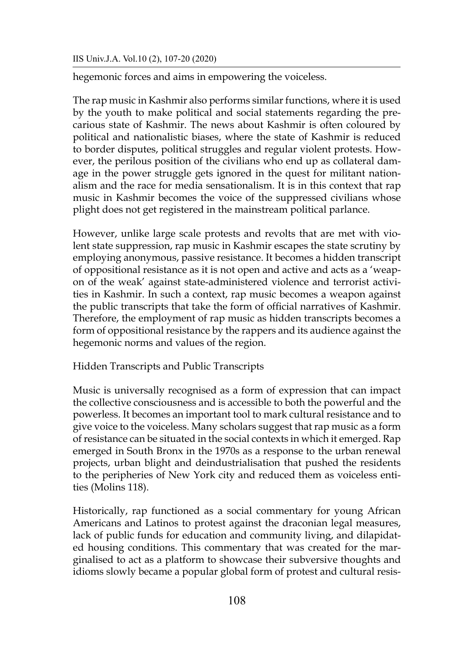hegemonic forces and aims in empowering the voiceless.

The rap music in Kashmir also performs similar functions, where it is used by the youth to make political and social statements regarding the precarious state of Kashmir. The news about Kashmir is often coloured by political and nationalistic biases, where the state of Kashmir is reduced to border disputes, political struggles and regular violent protests. However, the perilous position of the civilians who end up as collateral damage in the power struggle gets ignored in the quest for militant nationalism and the race for media sensationalism. It is in this context that rap music in Kashmir becomes the voice of the suppressed civilians whose plight does not get registered in the mainstream political parlance.

However, unlike large scale protests and revolts that are met with violent state suppression, rap music in Kashmir escapes the state scrutiny by employing anonymous, passive resistance. It becomes a hidden transcript of oppositional resistance as it is not open and active and acts as a 'weapon of the weak' against state-administered violence and terrorist activities in Kashmir. In such a context, rap music becomes a weapon against the public transcripts that take the form of official narratives of Kashmir. Therefore, the employment of rap music as hidden transcripts becomes a form of oppositional resistance by the rappers and its audience against the hegemonic norms and values of the region.

Hidden Transcripts and Public Transcripts

Music is universally recognised as a form of expression that can impact the collective consciousness and is accessible to both the powerful and the powerless. It becomes an important tool to mark cultural resistance and to give voice to the voiceless. Many scholars suggest that rap music as a form of resistance can be situated in the social contexts in which it emerged. Rap emerged in South Bronx in the 1970s as a response to the urban renewal projects, urban blight and deindustrialisation that pushed the residents to the peripheries of New York city and reduced them as voiceless entities (Molins 118).

Historically, rap functioned as a social commentary for young African Americans and Latinos to protest against the draconian legal measures, lack of public funds for education and community living, and dilapidated housing conditions. This commentary that was created for the marginalised to act as a platform to showcase their subversive thoughts and idioms slowly became a popular global form of protest and cultural resis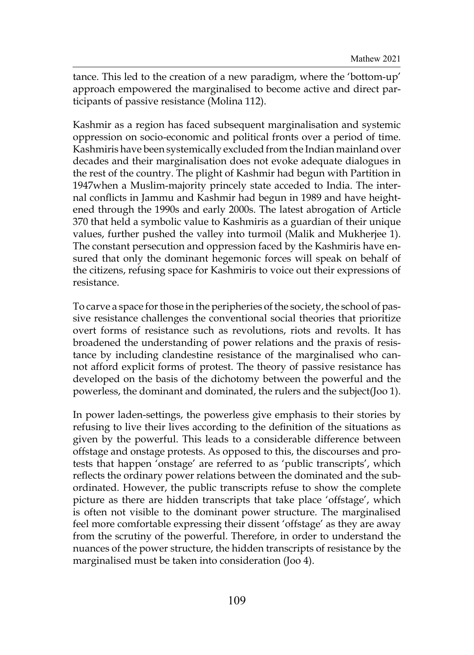tance. This led to the creation of a new paradigm, where the 'bottom-up' approach empowered the marginalised to become active and direct participants of passive resistance (Molina 112).

Kashmir as a region has faced subsequent marginalisation and systemic oppression on socio-economic and political fronts over a period of time. Kashmiris have been systemically excluded from the Indian mainland over decades and their marginalisation does not evoke adequate dialogues in the rest of the country. The plight of Kashmir had begun with Partition in 1947when a Muslim-majority princely state acceded to India. The internal conflicts in Jammu and Kashmir had begun in 1989 and have heightened through the 1990s and early 2000s. The latest abrogation of Article 370 that held a symbolic value to Kashmiris as a guardian of their unique values, further pushed the valley into turmoil (Malik and Mukherjee 1). The constant persecution and oppression faced by the Kashmiris have ensured that only the dominant hegemonic forces will speak on behalf of the citizens, refusing space for Kashmiris to voice out their expressions of resistance.

To carve a space for those in the peripheries of the society, the school of passive resistance challenges the conventional social theories that prioritize overt forms of resistance such as revolutions, riots and revolts. It has broadened the understanding of power relations and the praxis of resistance by including clandestine resistance of the marginalised who cannot afford explicit forms of protest. The theory of passive resistance has developed on the basis of the dichotomy between the powerful and the powerless, the dominant and dominated, the rulers and the subject(Joo 1).

In power laden-settings, the powerless give emphasis to their stories by refusing to live their lives according to the definition of the situations as given by the powerful. This leads to a considerable difference between offstage and onstage protests. As opposed to this, the discourses and protests that happen 'onstage' are referred to as 'public transcripts', which reflects the ordinary power relations between the dominated and the subordinated. However, the public transcripts refuse to show the complete picture as there are hidden transcripts that take place 'offstage', which is often not visible to the dominant power structure. The marginalised feel more comfortable expressing their dissent 'offstage' as they are away from the scrutiny of the powerful. Therefore, in order to understand the nuances of the power structure, the hidden transcripts of resistance by the marginalised must be taken into consideration (Joo 4).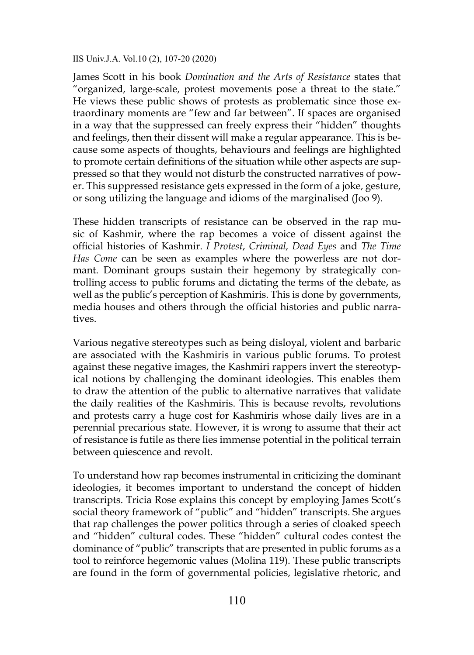James Scott in his book *Domination and the Arts of Resistance* states that "organized, large-scale, protest movements pose a threat to the state." He views these public shows of protests as problematic since those extraordinary moments are "few and far between". If spaces are organised in a way that the suppressed can freely express their "hidden" thoughts and feelings, then their dissent will make a regular appearance. This is because some aspects of thoughts, behaviours and feelings are highlighted to promote certain definitions of the situation while other aspects are suppressed so that they would not disturb the constructed narratives of power. This suppressed resistance gets expressed in the form of a joke, gesture, or song utilizing the language and idioms of the marginalised (Joo 9).

These hidden transcripts of resistance can be observed in the rap music of Kashmir, where the rap becomes a voice of dissent against the official histories of Kashmir. *I Protest*, *Criminal, Dead Eyes* and *The Time Has Come* can be seen as examples where the powerless are not dormant. Dominant groups sustain their hegemony by strategically controlling access to public forums and dictating the terms of the debate, as well as the public's perception of Kashmiris. This is done by governments, media houses and others through the official histories and public narratives.

Various negative stereotypes such as being disloyal, violent and barbaric are associated with the Kashmiris in various public forums. To protest against these negative images, the Kashmiri rappers invert the stereotypical notions by challenging the dominant ideologies. This enables them to draw the attention of the public to alternative narratives that validate the daily realities of the Kashmiris. This is because revolts, revolutions and protests carry a huge cost for Kashmiris whose daily lives are in a perennial precarious state. However, it is wrong to assume that their act of resistance is futile as there lies immense potential in the political terrain between quiescence and revolt.

To understand how rap becomes instrumental in criticizing the dominant ideologies, it becomes important to understand the concept of hidden transcripts. Tricia Rose explains this concept by employing James Scott's social theory framework of "public" and "hidden" transcripts. She argues that rap challenges the power politics through a series of cloaked speech and "hidden" cultural codes. These "hidden" cultural codes contest the dominance of "public" transcripts that are presented in public forums as a tool to reinforce hegemonic values (Molina 119). These public transcripts are found in the form of governmental policies, legislative rhetoric, and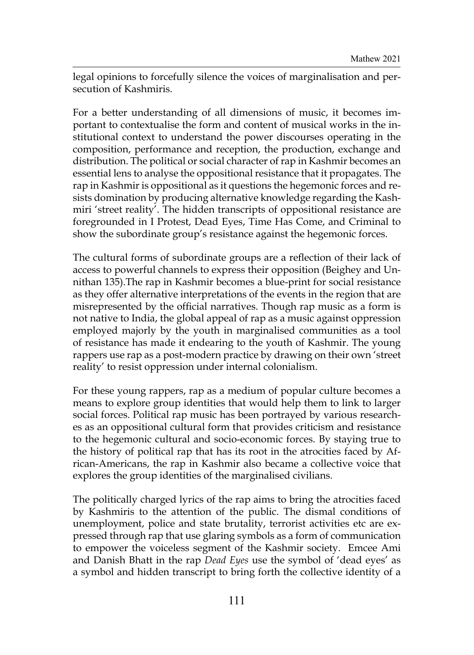legal opinions to forcefully silence the voices of marginalisation and persecution of Kashmiris.

For a better understanding of all dimensions of music, it becomes important to contextualise the form and content of musical works in the institutional context to understand the power discourses operating in the composition, performance and reception, the production, exchange and distribution. The political or social character of rap in Kashmir becomes an essential lens to analyse the oppositional resistance that it propagates. The rap in Kashmir is oppositional as it questions the hegemonic forces and resists domination by producing alternative knowledge regarding the Kashmiri 'street reality'. The hidden transcripts of oppositional resistance are foregrounded in I Protest, Dead Eyes, Time Has Come, and Criminal to show the subordinate group's resistance against the hegemonic forces.

The cultural forms of subordinate groups are a reflection of their lack of access to powerful channels to express their opposition (Beighey and Unnithan 135).The rap in Kashmir becomes a blue-print for social resistance as they offer alternative interpretations of the events in the region that are misrepresented by the official narratives. Though rap music as a form is not native to India, the global appeal of rap as a music against oppression employed majorly by the youth in marginalised communities as a tool of resistance has made it endearing to the youth of Kashmir. The young rappers use rap as a post-modern practice by drawing on their own 'street reality' to resist oppression under internal colonialism.

For these young rappers, rap as a medium of popular culture becomes a means to explore group identities that would help them to link to larger social forces. Political rap music has been portrayed by various researches as an oppositional cultural form that provides criticism and resistance to the hegemonic cultural and socio-economic forces. By staying true to the history of political rap that has its root in the atrocities faced by African-Americans, the rap in Kashmir also became a collective voice that explores the group identities of the marginalised civilians.

The politically charged lyrics of the rap aims to bring the atrocities faced by Kashmiris to the attention of the public. The dismal conditions of unemployment, police and state brutality, terrorist activities etc are expressed through rap that use glaring symbols as a form of communication to empower the voiceless segment of the Kashmir society. Emcee Ami and Danish Bhatt in the rap *Dead Eyes* use the symbol of 'dead eyes' as a symbol and hidden transcript to bring forth the collective identity of a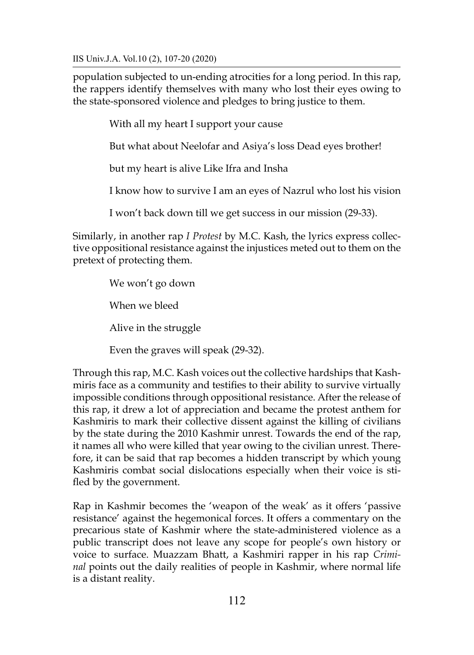population subjected to un-ending atrocities for a long period. In this rap, the rappers identify themselves with many who lost their eyes owing to the state-sponsored violence and pledges to bring justice to them.

With all my heart I support your cause

But what about Neelofar and Asiya's loss Dead eyes brother!

but my heart is alive Like Ifra and Insha

I know how to survive I am an eyes of Nazrul who lost his vision

I won't back down till we get success in our mission (29-33).

Similarly, in another rap *I Protest* by M.C. Kash, the lyrics express collective oppositional resistance against the injustices meted out to them on the pretext of protecting them.

> We won't go down When we bleed Alive in the struggle Even the graves will speak (29-32).

Through this rap, M.C. Kash voices out the collective hardships that Kashmiris face as a community and testifies to their ability to survive virtually impossible conditions through oppositional resistance. After the release of this rap, it drew a lot of appreciation and became the protest anthem for Kashmiris to mark their collective dissent against the killing of civilians by the state during the 2010 Kashmir unrest. Towards the end of the rap, it names all who were killed that year owing to the civilian unrest. Therefore, it can be said that rap becomes a hidden transcript by which young Kashmiris combat social dislocations especially when their voice is stifled by the government.

Rap in Kashmir becomes the 'weapon of the weak' as it offers 'passive resistance' against the hegemonical forces. It offers a commentary on the precarious state of Kashmir where the state-administered violence as a public transcript does not leave any scope for people's own history or voice to surface. Muazzam Bhatt, a Kashmiri rapper in his rap *Criminal* points out the daily realities of people in Kashmir, where normal life is a distant reality.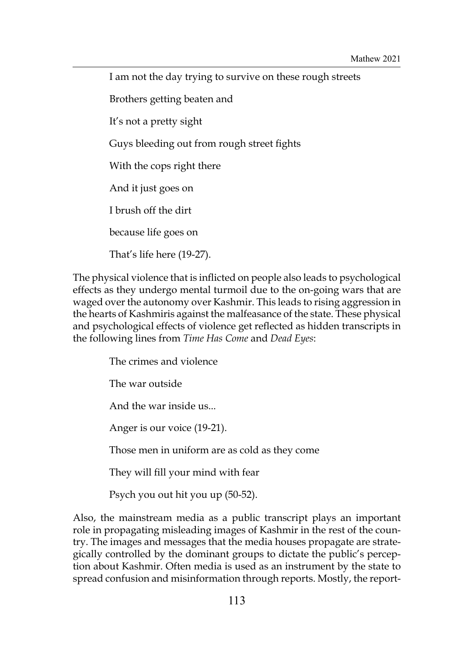I am not the day trying to survive on these rough streets Brothers getting beaten and It's not a pretty sight Guys bleeding out from rough street fights With the cops right there And it just goes on I brush off the dirt because life goes on That's life here (19-27).

The physical violence that is inflicted on people also leads to psychological effects as they undergo mental turmoil due to the on-going wars that are waged over the autonomy over Kashmir. This leads to rising aggression in the hearts of Kashmiris against the malfeasance of the state. These physical and psychological effects of violence get reflected as hidden transcripts in the following lines from *Time Has Come* and *Dead Eyes*:

> The crimes and violence The war outside And the war inside us... Anger is our voice (19-21). Those men in uniform are as cold as they come They will fill your mind with fear

Psych you out hit you up (50-52).

Also, the mainstream media as a public transcript plays an important role in propagating misleading images of Kashmir in the rest of the country. The images and messages that the media houses propagate are strategically controlled by the dominant groups to dictate the public's perception about Kashmir. Often media is used as an instrument by the state to spread confusion and misinformation through reports. Mostly, the report-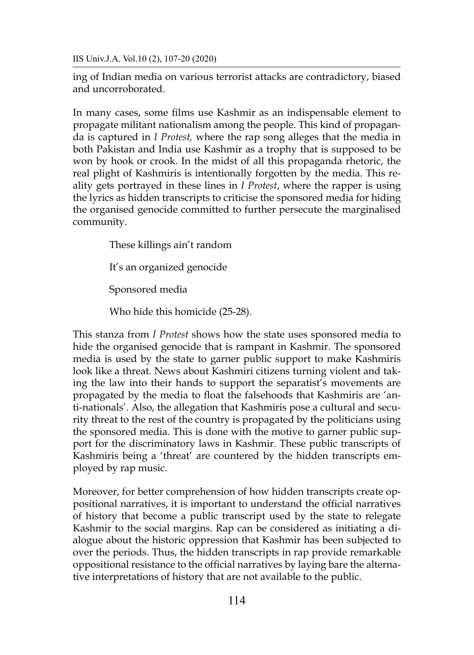ing of Indian media on various terrorist attacks are contradictory, biased and uncorroborated.

In many cases, some films use Kashmir as an indispensable element to propagate militant nationalism among the people. This kind of propaganda is captured in *I Protest,* where the rap song alleges that the media in both Pakistan and India use Kashmir as a trophy that is supposed to be won by hook or crook. In the midst of all this propaganda rhetoric, the real plight of Kashmiris is intentionally forgotten by the media. This reality gets portrayed in these lines in *I Protest*, where the rapper is using the lyrics as hidden transcripts to criticise the sponsored media for hiding the organised genocide committed to further persecute the marginalised community.

These killings ain't random

It's an organized genocide

Sponsored media

Who hide this homicide (25-28).

This stanza from *I Protest* shows how the state uses sponsored media to hide the organised genocide that is rampant in Kashmir. The sponsored media is used by the state to garner public support to make Kashmiris look like a threat. News about Kashmiri citizens turning violent and taking the law into their hands to support the separatist's movements are propagated by the media to float the falsehoods that Kashmiris are 'anti-nationals'. Also, the allegation that Kashmiris pose a cultural and security threat to the rest of the country is propagated by the politicians using the sponsored media. This is done with the motive to garner public support for the discriminatory laws in Kashmir. These public transcripts of Kashmiris being a 'threat' are countered by the hidden transcripts employed by rap music.

Moreover, for better comprehension of how hidden transcripts create oppositional narratives, it is important to understand the official narratives of history that become a public transcript used by the state to relegate Kashmir to the social margins. Rap can be considered as initiating a dialogue about the historic oppression that Kashmir has been subjected to over the periods. Thus, the hidden transcripts in rap provide remarkable oppositional resistance to the official narratives by laying bare the alternative interpretations of history that are not available to the public.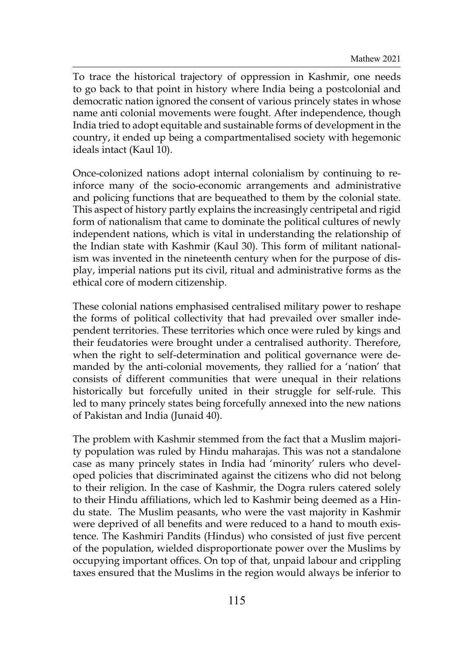To trace the historical trajectory of oppression in Kashmir, one needs to go back to that point in history where India being a postcolonial and democratic nation ignored the consent of various princely states in whose name anti colonial movements were fought. After independence, though India tried to adopt equitable and sustainable forms of development in the country, it ended up being a compartmentalised society with hegemonic ideals intact (Kaul 10).

Once-colonized nations adopt internal colonialism by continuing to reinforce many of the socio-economic arrangements and administrative and policing functions that are bequeathed to them by the colonial state. This aspect of history partly explains the increasingly centripetal and rigid form of nationalism that came to dominate the political cultures of newly independent nations, which is vital in understanding the relationship of the Indian state with Kashmir (Kaul 30). This form of militant nationalism was invented in the nineteenth century when for the purpose of display, imperial nations put its civil, ritual and administrative forms as the ethical core of modern citizenship.

These colonial nations emphasised centralised military power to reshape the forms of political collectivity that had prevailed over smaller independent territories. These territories which once were ruled by kings and their feudatories were brought under a centralised authority. Therefore, when the right to self-determination and political governance were demanded by the anti-colonial movements, they rallied for a 'nation' that consists of different communities that were unequal in their relations historically but forcefully united in their struggle for self-rule. This led to many princely states being forcefully annexed into the new nations of Pakistan and India (Junaid 40).

The problem with Kashmir stemmed from the fact that a Muslim majority population was ruled by Hindu maharajas. This was not a standalone case as many princely states in India had 'minority' rulers who developed policies that discriminated against the citizens who did not belong to their religion. In the case of Kashmir, the Dogra rulers catered solely to their Hindu affiliations, which led to Kashmir being deemed as a Hindu state. The Muslim peasants, who were the vast majority in Kashmir were deprived of all benefits and were reduced to a hand to mouth existence. The Kashmiri Pandits (Hindus) who consisted of just five percent of the population, wielded disproportionate power over the Muslims by occupying important offices. On top of that, unpaid labour and crippling taxes ensured that the Muslims in the region would always be inferior to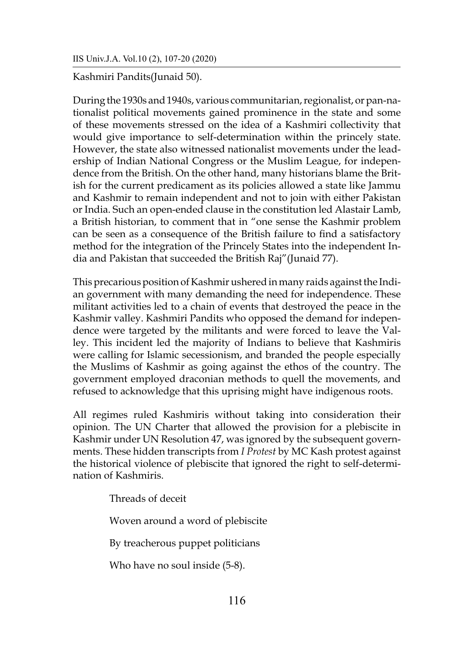Kashmiri Pandits(Junaid 50).

During the 1930s and 1940s, various communitarian, regionalist, or pan-nationalist political movements gained prominence in the state and some of these movements stressed on the idea of a Kashmiri collectivity that would give importance to self-determination within the princely state. However, the state also witnessed nationalist movements under the leadership of Indian National Congress or the Muslim League, for independence from the British. On the other hand, many historians blame the British for the current predicament as its policies allowed a state like Jammu and Kashmir to remain independent and not to join with either Pakistan or India. Such an open-ended clause in the constitution led Alastair Lamb, a British historian, to comment that in "one sense the Kashmir problem can be seen as a consequence of the British failure to find a satisfactory method for the integration of the Princely States into the independent India and Pakistan that succeeded the British Raj"(Junaid 77).

This precarious position of Kashmir ushered in many raids against the Indian government with many demanding the need for independence. These militant activities led to a chain of events that destroyed the peace in the Kashmir valley. Kashmiri Pandits who opposed the demand for independence were targeted by the militants and were forced to leave the Valley. This incident led the majority of Indians to believe that Kashmiris were calling for Islamic secessionism, and branded the people especially the Muslims of Kashmir as going against the ethos of the country. The government employed draconian methods to quell the movements, and refused to acknowledge that this uprising might have indigenous roots.

All regimes ruled Kashmiris without taking into consideration their opinion. The UN Charter that allowed the provision for a plebiscite in Kashmir under UN Resolution 47, was ignored by the subsequent governments. These hidden transcripts from *I Protest* by MC Kash protest against the historical violence of plebiscite that ignored the right to self-determination of Kashmiris.

Threads of deceit

Woven around a word of plebiscite

By treacherous puppet politicians

Who have no soul inside (5-8).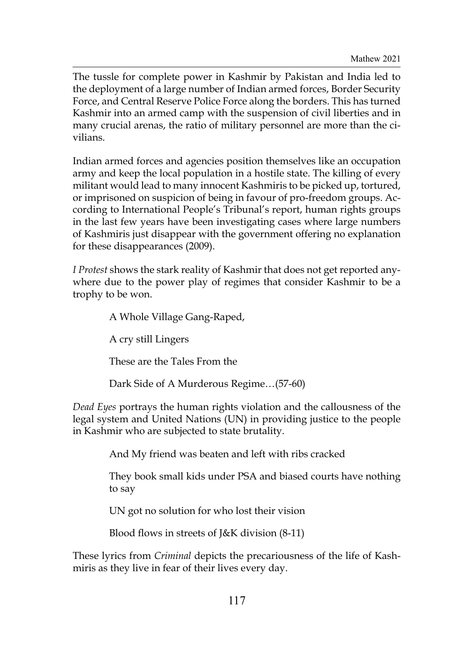The tussle for complete power in Kashmir by Pakistan and India led to the deployment of a large number of Indian armed forces, Border Security Force, and Central Reserve Police Force along the borders. This has turned Kashmir into an armed camp with the suspension of civil liberties and in many crucial arenas, the ratio of military personnel are more than the civilians.

Indian armed forces and agencies position themselves like an occupation army and keep the local population in a hostile state. The killing of every militant would lead to many innocent Kashmiris to be picked up, tortured, or imprisoned on suspicion of being in favour of pro-freedom groups. According to International People's Tribunal's report, human rights groups in the last few years have been investigating cases where large numbers of Kashmiris just disappear with the government offering no explanation for these disappearances (2009).

*I Protest* shows the stark reality of Kashmir that does not get reported anywhere due to the power play of regimes that consider Kashmir to be a trophy to be won.

> A Whole Village Gang-Raped, A cry still Lingers These are the Tales From the Dark Side of A Murderous Regime…(57-60)

*Dead Eyes* portrays the human rights violation and the callousness of the legal system and United Nations (UN) in providing justice to the people in Kashmir who are subjected to state brutality.

And My friend was beaten and left with ribs cracked

They book small kids under PSA and biased courts have nothing to say

UN got no solution for who lost their vision

Blood flows in streets of J&K division (8-11)

These lyrics from *Criminal* depicts the precariousness of the life of Kashmiris as they live in fear of their lives every day.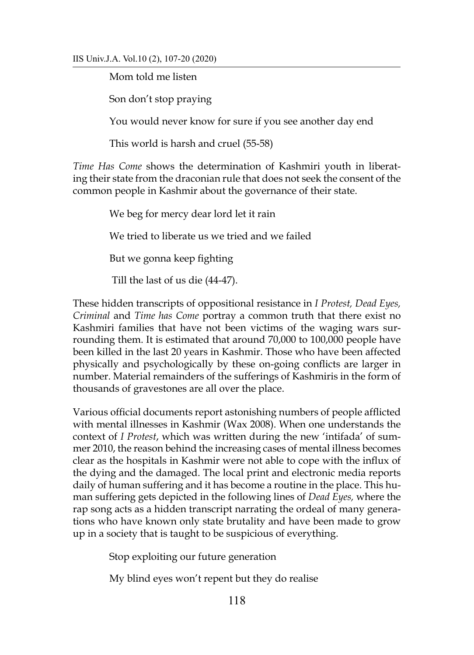Mom told me listen

Son don't stop praying

You would never know for sure if you see another day end

This world is harsh and cruel (55-58)

*Time Has Come* shows the determination of Kashmiri youth in liberating their state from the draconian rule that does not seek the consent of the common people in Kashmir about the governance of their state.

> We beg for mercy dear lord let it rain We tried to liberate us we tried and we failed But we gonna keep fighting Till the last of us die (44-47).

These hidden transcripts of oppositional resistance in *I Protest, Dead Eyes, Criminal* and *Time has Come* portray a common truth that there exist no Kashmiri families that have not been victims of the waging wars surrounding them. It is estimated that around 70,000 to 100,000 people have been killed in the last 20 years in Kashmir. Those who have been affected physically and psychologically by these on-going conflicts are larger in number. Material remainders of the sufferings of Kashmiris in the form of thousands of gravestones are all over the place.

Various official documents report astonishing numbers of people afflicted with mental illnesses in Kashmir (Wax 2008). When one understands the context of *I Protest*, which was written during the new 'intifada' of summer 2010, the reason behind the increasing cases of mental illness becomes clear as the hospitals in Kashmir were not able to cope with the influx of the dying and the damaged. The local print and electronic media reports daily of human suffering and it has become a routine in the place. This human suffering gets depicted in the following lines of *Dead Eyes,* where the rap song acts as a hidden transcript narrating the ordeal of many generations who have known only state brutality and have been made to grow up in a society that is taught to be suspicious of everything.

Stop exploiting our future generation

My blind eyes won't repent but they do realise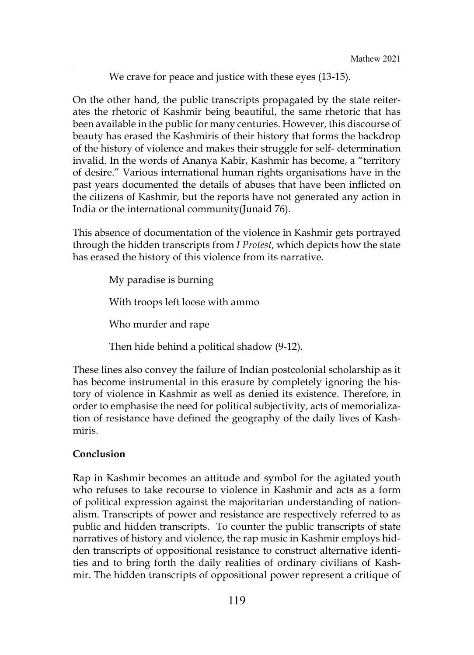We crave for peace and justice with these eyes (13-15).

On the other hand, the public transcripts propagated by the state reiterates the rhetoric of Kashmir being beautiful, the same rhetoric that has been available in the public for many centuries. However, this discourse of beauty has erased the Kashmiris of their history that forms the backdrop of the history of violence and makes their struggle for self- determination invalid. In the words of Ananya Kabir, Kashmir has become, a "territory of desire." Various international human rights organisations have in the past years documented the details of abuses that have been inflicted on the citizens of Kashmir, but the reports have not generated any action in India or the international community(Junaid 76).

This absence of documentation of the violence in Kashmir gets portrayed through the hidden transcripts from *I Protest*, which depicts how the state has erased the history of this violence from its narrative.

> My paradise is burning With troops left loose with ammo Who murder and rape

Then hide behind a political shadow (9-12).

These lines also convey the failure of Indian postcolonial scholarship as it has become instrumental in this erasure by completely ignoring the history of violence in Kashmir as well as denied its existence. Therefore, in order to emphasise the need for political subjectivity, acts of memorialization of resistance have defined the geography of the daily lives of Kashmiris.

# **Conclusion**

Rap in Kashmir becomes an attitude and symbol for the agitated youth who refuses to take recourse to violence in Kashmir and acts as a form of political expression against the majoritarian understanding of nationalism. Transcripts of power and resistance are respectively referred to as public and hidden transcripts. To counter the public transcripts of state narratives of history and violence, the rap music in Kashmir employs hidden transcripts of oppositional resistance to construct alternative identities and to bring forth the daily realities of ordinary civilians of Kashmir. The hidden transcripts of oppositional power represent a critique of